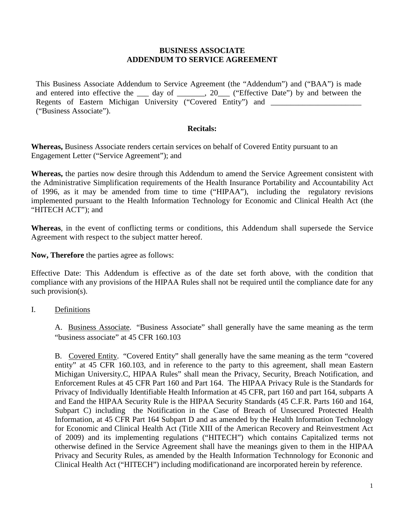### **BUSINESS ASSOCIATE ADDENDUM TO SERVICE AGREEMENT**

This Business Associate Addendum to Service Agreement (the "Addendum") and ("BAA") is made and entered into effective the \_\_\_ day of \_\_\_\_\_\_, 20\_\_\_ ("Effective Date") by and between the Regents of Eastern Michigan University ("Covered Entity") and ("Business Associate").

### **Recitals:**

**Whereas,** Business Associate renders certain services on behalf of Covered Entity pursuant to an Engagement Letter ("Service Agreement"); and

**Whereas,** the parties now desire through this Addendum to amend the Service Agreement consistent with the Administrative Simplification requirements of the Health Insurance Portability and Accountability Act of 1996, as it may be amended from time to time ("HIPAA"), including the regulatory revisions implemented pursuant to the Health Information Technology for Economic and Clinical Health Act (the "HITECH ACT"); and

**Whereas**, in the event of conflicting terms or conditions, this Addendum shall supersede the Service Agreement with respect to the subject matter hereof.

**Now, Therefore** the parties agree as follows:

Effective Date: This Addendum is effective as of the date set forth above, with the condition that compliance with any provisions of the HIPAA Rules shall not be required until the compliance date for any such provision(s).

# I. Definitions

A. Business Associate. "Business Associate" shall generally have the same meaning as the term "business associate" at 45 CFR 160.103

B. Covered Entity. "Covered Entity" shall generally have the same meaning as the term "covered entity" at 45 CFR 160.103, and in reference to the party to this agreement, shall mean Eastern Michigan University.C, HIPAA Rules" shall mean the Privacy, Security, Breach Notification, and Enforcement Rules at 45 CFR Part 160 and Part 164. The HIPAA Privacy Rule is the Standards for Privacy of Individually Identifiable Health Information at 45 CFR, part 160 and part 164, subparts A and Eand the HIPAA Security Rule is the HIPAA Security Standards (45 C.F.R. Parts 160 and 164, Subpart C) including the Notification in the Case of Breach of Unsecured Protected Health Information, at 45 CFR Part 164 Subpart D and as amended by the Health Information Technology for Economic and Clinical Health Act (Title XIII of the American Recovery and Reinvestment Act of 2009) and its implementing regulations ("HITECH") which contains Capitalized terms not otherwise defined in the Service Agreement shall have the meanings given to them in the HIPAA Privacy and Security Rules, as amended by the Health Information Technnology for Econonic and Clinical Health Act ("HITECH") including modificationand are incorporated herein by reference.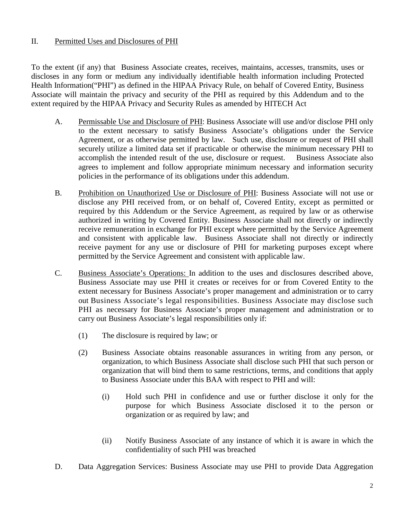# II. Permitted Uses and Disclosures of PHI

To the extent (if any) that Business Associate creates, receives, maintains, accesses, transmits, uses or discloses in any form or medium any individually identifiable health information including Protected Health Information("PHI") as defined in the HIPAA Privacy Rule, on behalf of Covered Entity, Business Associate will maintain the privacy and security of the PHI as required by this Addendum and to the extent required by the HIPAA Privacy and Security Rules as amended by HITECH Act

- A. Permissable Use and Disclosure of PHI: Business Associate will use and/or disclose PHI only to the extent necessary to satisfy Business Associate's obligations under the Service Agreement, or as otherwise permitted by law. Such use, disclosure or request of PHI shall securely utilize a limited data set if practicable or otherwise the minimum necessary PHI to accomplish the intended result of the use, disclosure or request. Business Associate also agrees to implement and follow appropriate minimum necessary and information security policies in the performance of its obligations under this addendum.
- B. Prohibition on Unauthorized Use or Disclosure of PHI: Business Associate will not use or disclose any PHI received from, or on behalf of, Covered Entity, except as permitted or required by this Addendum or the Service Agreement, as required by law or as otherwise authorized in writing by Covered Entity. Business Associate shall not directly or indirectly receive remuneration in exchange for PHI except where permitted by the Service Agreement and consistent with applicable law. Business Associate shall not directly or indirectly receive payment for any use or disclosure of PHI for marketing purposes except where permitted by the Service Agreement and consistent with applicable law.
- C. Business Associate's Operations: In addition to the uses and disclosures described above, Business Associate may use PHI it creates or receives for or from Covered Entity to the extent necessary for Business Associate's proper management and administration or to carry out Business Associate's legal responsibilities. Business Associate may disclose such PHI as necessary for Business Associate's proper management and administration or to carry out Business Associate's legal responsibilities only if:
	- (1) The disclosure is required by law; or
	- (2) Business Associate obtains reasonable assurances in writing from any person, or organization, to which Business Associate shall disclose such PHI that such person or organization that will bind them to same restrictions, terms, and conditions that apply to Business Associate under this BAA with respect to PHI and will:
		- (i) Hold such PHI in confidence and use or further disclose it only for the purpose for which Business Associate disclosed it to the person or organization or as required by law; and
		- (ii) Notify Business Associate of any instance of which it is aware in which the confidentiality of such PHI was breached
- D. Data Aggregation Services: Business Associate may use PHI to provide Data Aggregation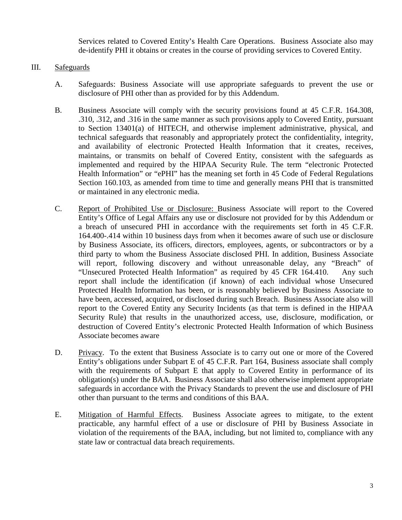Services related to Covered Entity's Health Care Operations. Business Associate also may de-identify PHI it obtains or creates in the course of providing services to Covered Entity.

## III. Safeguards

- A. Safeguards: Business Associate will use appropriate safeguards to prevent the use or disclosure of PHI other than as provided for by this Addendum.
- B. Business Associate will comply with the security provisions found at 45 C.F.R. 164.308, .310, .312, and .316 in the same manner as such provisions apply to Covered Entity, pursuant to Section 13401(a) of HITECH, and otherwise implement administrative, physical, and technical safeguards that reasonably and appropriately protect the confidentiality, integrity, and availability of electronic Protected Health Information that it creates, receives, maintains, or transmits on behalf of Covered Entity, consistent with the safeguards as implemented and required by the HIPAA Security Rule. The term "electronic Protected Health Information" or "ePHI" has the meaning set forth in 45 Code of Federal Regulations Section 160.103, as amended from time to time and generally means PHI that is transmitted or maintained in any electronic media.
- C. Report of Prohibited Use or Disclosure: Business Associate will report to the Covered Entity's Office of Legal Affairs any use or disclosure not provided for by this Addendum or a breach of unsecured PHI in accordance with the requirements set forth in 45 C.F.R. 164.400-.414 within 10 business days from when it becomes aware of such use or disclosure by Business Associate, its officers, directors, employees, agents, or subcontractors or by a third party to whom the Business Associate disclosed PHI. In addition, Business Associate will report, following discovery and without unreasonable delay, any "Breach" of "Unsecured Protected Health Information" as required by 45 CFR 164.410. Any such report shall include the identification (if known) of each individual whose Unsecured Protected Health Information has been, or is reasonably believed by Business Associate to have been, accessed, acquired, or disclosed during such Breach. Business Associate also will report to the Covered Entity any Security Incidents (as that term is defined in the HIPAA Security Rule) that results in the unauthorized access, use, disclosure, modification, or destruction of Covered Entity's electronic Protected Health Information of which Business Associate becomes aware
- D. Privacy. To the extent that Business Associate is to carry out one or more of the Covered Entity's obligations under Subpart E of 45 C.F.R. Part 164, Business associate shall comply with the requirements of Subpart E that apply to Covered Entity in performance of its obligation(s) under the BAA. Business Associate shall also otherwise implement appropriate safeguards in accordance with the Privacy Standards to prevent the use and disclosure of PHI other than pursuant to the terms and conditions of this BAA.
- E. Mitigation of Harmful Effects. Business Associate agrees to mitigate, to the extent practicable, any harmful effect of a use or disclosure of PHI by Business Associate in violation of the requirements of the BAA, including, but not limited to, compliance with any state law or contractual data breach requirements.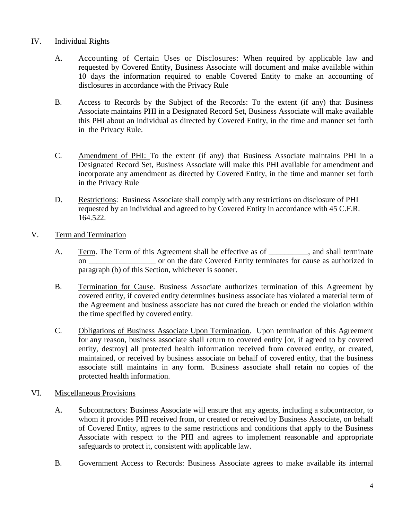# IV. Individual Rights

- A. Accounting of Certain Uses or Disclosures: When required by applicable law and requested by Covered Entity, Business Associate will document and make available within 10 days the information required to enable Covered Entity to make an accounting of disclosures in accordance with the Privacy Rule
- B. Access to Records by the Subject of the Records: To the extent (if any) that Business Associate maintains PHI in a Designated Record Set, Business Associate will make available this PHI about an individual as directed by Covered Entity, in the time and manner set forth in the Privacy Rule.
- C. Amendment of PHI: To the extent (if any) that Business Associate maintains PHI in a Designated Record Set, Business Associate will make this PHI available for amendment and incorporate any amendment as directed by Covered Entity, in the time and manner set forth in the Privacy Rule
- D. Restrictions: Business Associate shall comply with any restrictions on disclosure of PHI requested by an individual and agreed to by Covered Entity in accordance with 45 C.F.R. 164.522.
- V. Term and Termination
	- A. Term. The Term of this Agreement shall be effective as of \_\_\_\_\_\_\_\_, and shall terminate on \_\_\_\_\_\_\_\_\_\_\_\_\_\_\_\_\_ or on the date Covered Entity terminates for cause as authorized in paragraph (b) of this Section, whichever is sooner.
	- B. Termination for Cause. Business Associate authorizes termination of this Agreement by covered entity, if covered entity determines business associate has violated a material term of the Agreement and business associate has not cured the breach or ended the violation within the time specified by covered entity.
	- C. Obligations of Business Associate Upon Termination. Upon termination of this Agreement for any reason, business associate shall return to covered entity [or, if agreed to by covered entity, destroy] all protected health information received from covered entity, or created, maintained, or received by business associate on behalf of covered entity, that the business associate still maintains in any form. Business associate shall retain no copies of the protected health information.

### VI. Miscellaneous Provisions

- A. Subcontractors: Business Associate will ensure that any agents, including a subcontractor, to whom it provides PHI received from, or created or received by Business Associate, on behalf of Covered Entity, agrees to the same restrictions and conditions that apply to the Business Associate with respect to the PHI and agrees to implement reasonable and appropriate safeguards to protect it, consistent with applicable law.
- B. Government Access to Records: Business Associate agrees to make available its internal